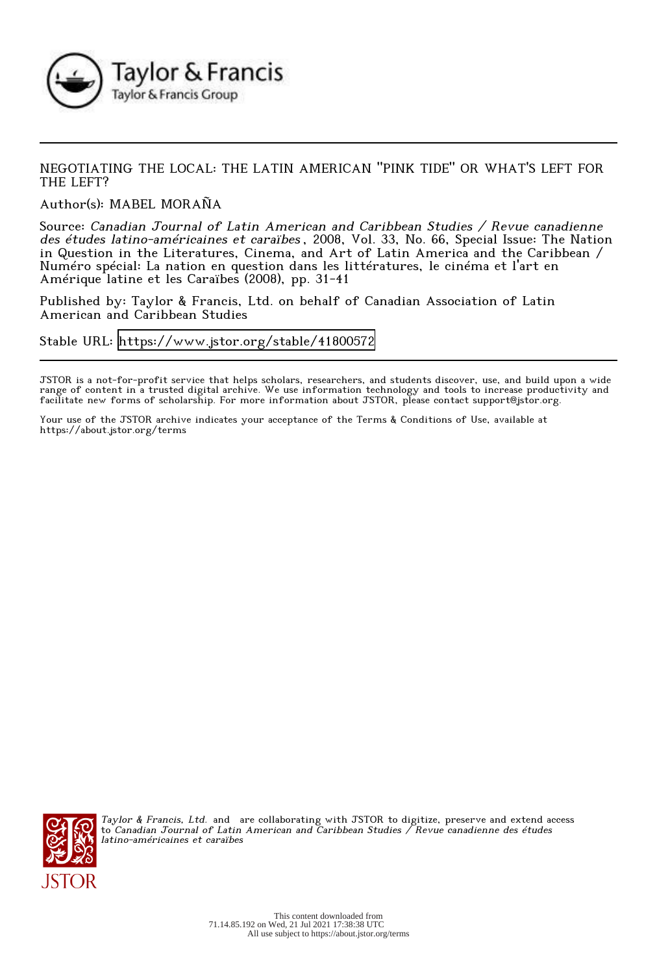

## NEGOTIATING THE LOCAL: THE LATIN AMERICAN "PINK TIDE" OR WHAT'S LEFT FOR THE LEFT?

Author(s): MABEL MORAÑA

Source: Canadian Journal of Latin American and Caribbean Studies / Revue canadienne des études latino-américaines et caraïbes , 2008, Vol. 33, No. 66, Special Issue: The Nation in Question in the Literatures, Cinema, and Art of Latin America and the Caribbean / Numéro spécial: La nation en question dans les littératures, le cinéma et l'art en Amérique latine et les Caraïbes (2008), pp. 31-41

Published by: Taylor & Francis, Ltd. on behalf of Canadian Association of Latin American and Caribbean Studies

Stable URL:<https://www.jstor.org/stable/41800572>

JSTOR is a not-for-profit service that helps scholars, researchers, and students discover, use, and build upon a wide range of content in a trusted digital archive. We use information technology and tools to increase productivity and facilitate new forms of scholarship. For more information about JSTOR, please contact support@jstor.org.

Your use of the JSTOR archive indicates your acceptance of the Terms & Conditions of Use, available at https://about.jstor.org/terms



Taylor & Francis, Ltd. and are collaborating with JSTOR to digitize, preserve and extend access to Canadian Journal of Latin American and Caribbean Studies / Revue canadienne des études latino-américaines et caraïbes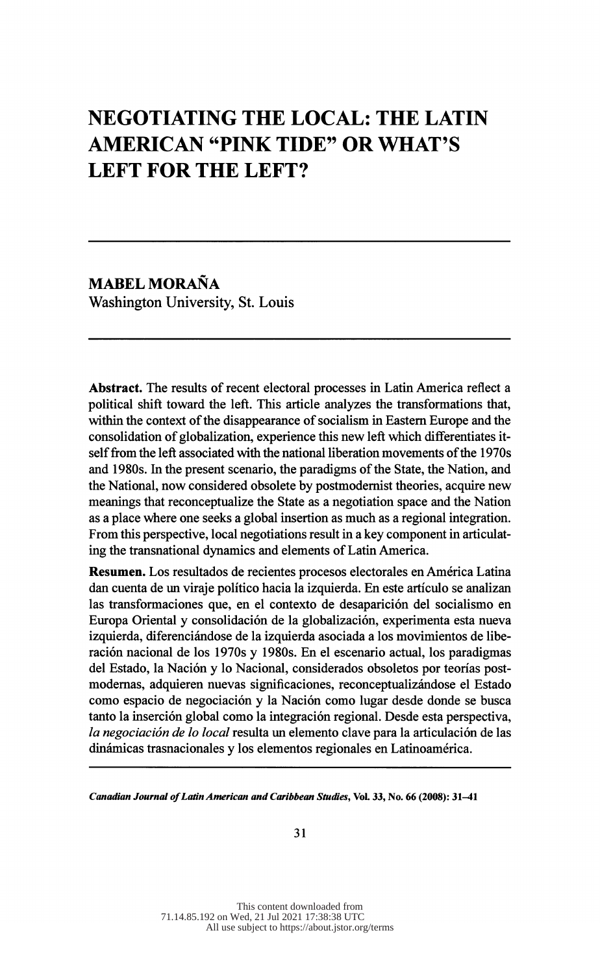# NEGOTIATING THE LOCAL: THE LATIN AMERICAN "PINK TIDE" OR WHAT'S LEFT FOR THE LEFT?

 MABEL MORANA Washington University, St. Louis

 Abstract. The results of recent electoral processes in Latin America reflect a political shift toward the left. This article analyzes the transformations that, within the context of the disappearance of socialism in Eastern Europe and the consolidation of globalization, experience this new left which differentiates it self from the left associated with the national liberation movements of the 1970s and 1980s. In the present scenario, the paradigms of the State, the Nation, and the National, now considered obsolete by postmodernist theories, acquire new meanings that reconceptualize the State as a negotiation space and the Nation as a place where one seeks a global insertion as much as a regional integration. From this perspective, local negotiations result in a key component in articulat ing the transnational dynamics and elements of Latin America.

 Resumen. Los resultados de recientes procesos electorales en América Latina dan cuenta de un viraje político hacia la izquierda. En este artículo se analizan las transformaciones que, en el contexto de desaparición del socialismo en Europa Oriental y consolidación de la globalización, experimenta esta nueva izquierda, diferenciándose de la izquierda asociada a los movimientos de libe ración nacional de los 1970s y 1980s. En el escenario actual, los paradigmas del Estado, la Nación y lo Nacional, considerados obsoletos por teorías post modernas, adquieren nuevas significaciones, reconceptualizándose el Estado como espacio de negociación y la Nación como lugar desde donde se busca tanto la inserción global como la integración regional. Desde esta perspectiva, la negociación de lo local resulta un elemento clave para la articulación de las dinámicas trasnacionales y los elementos regionales en Latinoamérica.

Canadian Journal of Latin American and Caribbean Studies, Vol. 33, No. 66 (2008): 31-41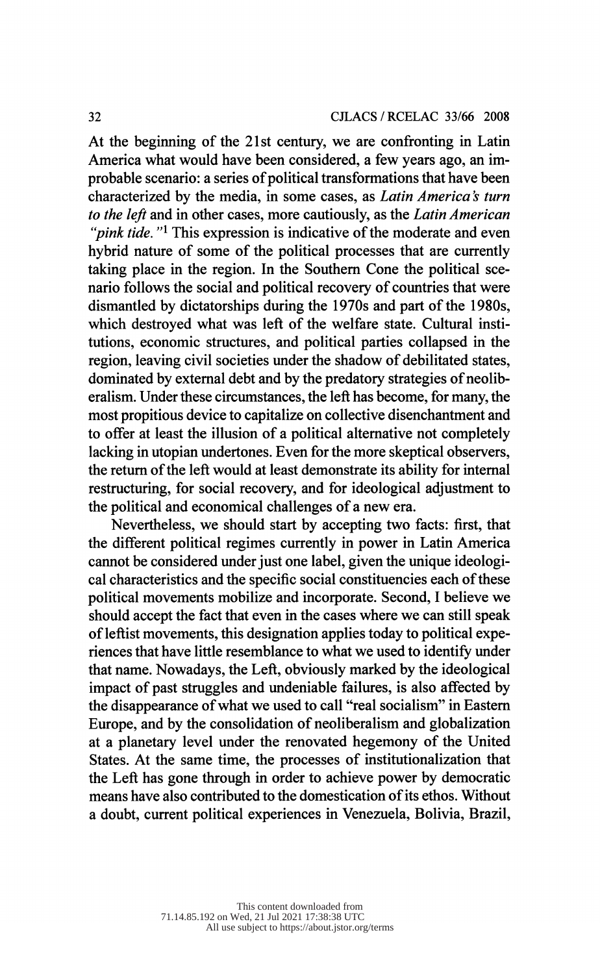At the beginning of the 21st century, we are confronting in Latin America what would have been considered, a few years ago, an im probable scenario: a series of political transformations that have been characterized by the media, in some cases, as *Latin America's turn* to the left and in other cases, more cautiously, as the Latin American "*pink tide.* "<sup>1</sup> This expression is indicative of the moderate and even hybrid nature of some of the political processes that are currently taking place in the region. In the Southern Cone the political sce nario follows the social and political recovery of countries that were dismantled by dictatorships during the 1970s and part of the 1980s, which destroyed what was left of the welfare state. Cultural insti tutions, economic structures, and political parties collapsed in the region, leaving civil societies under the shadow of debilitated states, dominated by external debt and by the predatory strategies of neolib eralism. Under these circumstances, the left has become, for many, the most propitious device to capitalize on collective disenchantment and to offer at least the illusion of a political alternative not completely lacking in utopian undertones. Even for the more skeptical observers, the return of the left would at least demonstrate its ability for internal restructuring, for social recovery, and for ideological adjustment to the political and economical challenges of a new era.

 Nevertheless, we should start by accepting two facts: first, that the different political regimes currently in power in Latin America cannot be considered under just one label, given the unique ideologi cal characteristics and the specific social constituencies each of these political movements mobilize and incorporate. Second, I believe we should accept the fact that even in the cases where we can still speak of leftist movements, this designation applies today to political expe riences that have little resemblance to what we used to identify under that name. Nowadays, the Left, obviously marked by the ideological impact of past struggles and undeniable failures, is also affected by the disappearance of what we used to call "real socialism" in Eastern Europe, and by the consolidation of neoliberalism and globalization at a planetary level under the renovated hegemony of the United States. At the same time, the processes of institutionalization that the Left has gone through in order to achieve power by democratic means have also contributed to the domestication of its ethos. Without a doubt, current political experiences in Venezuela, Bolivia, Brazil,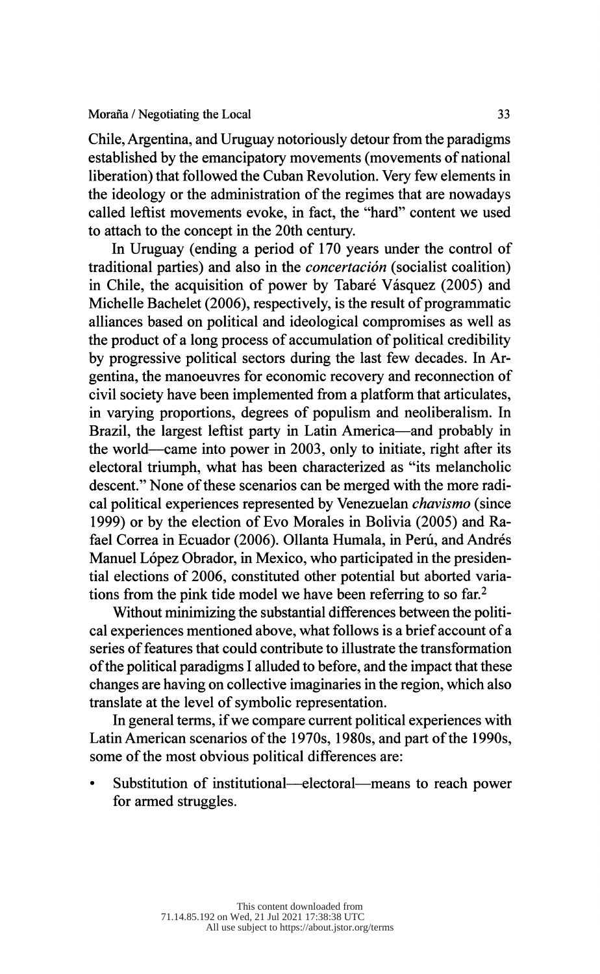Chile, Argentina, and Uruguay notoriously detour from the paradigms established by the emancipatory movements (movements of national liberation) that followed the Cuban Revolution. Very few elements in the ideology or the administration of the regimes that are nowadays called leftist movements evoke, in fact, the "hard" content we used to attach to the concept in the 20th century.

 In Uruguay (ending a period of 170 years under the control of traditional parties) and also in the *concertación* (socialist coalition) in Chile, the acquisition of power by Tabaré Vásquez (2005) and Michelle Bachelet (2006), respectively, is the result of programmatic alliances based on political and ideological compromises as well as the product of a long process of accumulation of political credibility by progressive political sectors during the last few decades. In Ar gentina, the manoeuvres for economic recovery and reconnection of civil society have been implemented from a platform that articulates, in varying proportions, degrees of populism and neoliberalism. In Brazil, the largest leftist party in Latin America—and probably in the world—came into power in 2003, only to initiate, right after its electoral triumph, what has been characterized as "its melancholic descent." None of these scenarios can be merged with the more radi cal political experiences represented by Venezuelan chavismo (since 1999) or by the election of Evo Morales in Bolivia (2005) and Ra fael Correa in Ecuador (2006). Ollanta Humala, in Perú, and Andrés Manuel López Obrador, in Mexico, who participated in the presiden tial elections of 2006, constituted other potential but aborted varia tions from the pink tide model we have been referring to so far.2

 Without minimizing the substantial differences between the politi cal experiences mentioned above, what follows is a brief account of a series of features that could contribute to illustrate the transformation of the political paradigms I alluded to before, and the impact that these changes are having on collective imaginaries in the region, which also translate at the level of symbolic representation.

 In general terms, if we compare current political experiences with Latin American scenarios of the 1970s, 1980s, and part of the 1990s, some of the most obvious political differences are:

Substitution of institutional—electoral—means to reach power for armed struggles.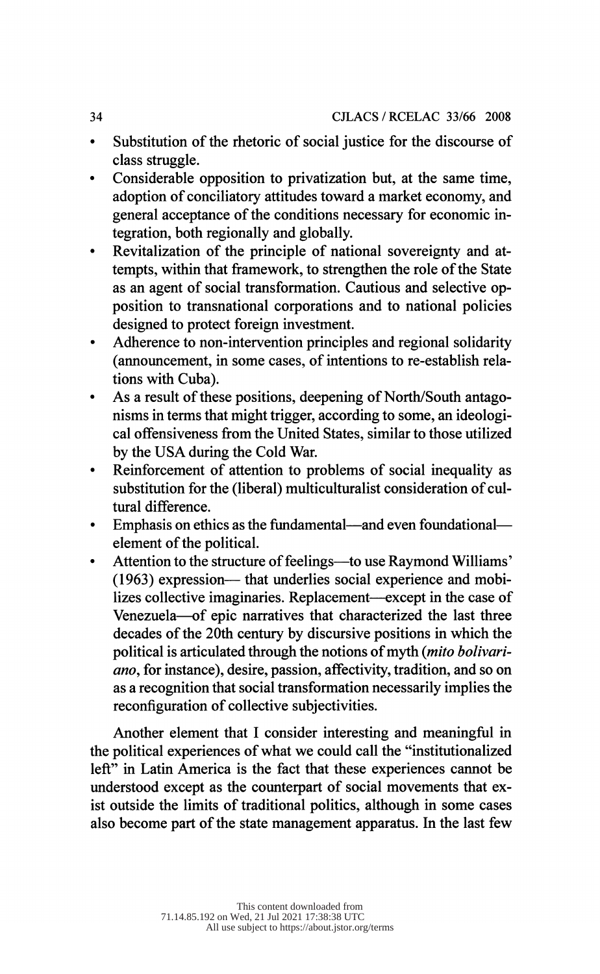- Substitution of the rhetoric of social justice for the discourse of class struggle.
- Considerable opposition to privatization but, at the same time, adoption of conciliatory attitudes toward a market economy, and general acceptance of the conditions necessary for economic in tegration, both regionally and globally.
- Revitalization of the principle of national sovereignty and at tempts, within that framework, to strengthen the role of the State as an agent of social transformation. Cautious and selective op position to transnational corporations and to national policies designed to protect foreign investment.
- Adherence to non-intervention principles and regional solidarity (announcement, in some cases, of intentions to re-establish rela tions with Cuba).
- As a result of these positions, deepening of North/South antago nisms in terms that might trigger, according to some, an ideologi cal offensiveness from the United States, similar to those utilized by the USA during the Cold War.
- Reinforcement of attention to problems of social inequality as substitution for the (liberal) multiculturalist consideration of cul tural difference.
- Emphasis on ethics as the fundamental—and even foundational element of the political.
- Attention to the structure of feelings—to use Raymond Williams'  $(1963)$  expression— that underlies social experience and mobilizes collective imaginaries. Replacement—except in the case of Venezuela—of epic narratives that characterized the last three decades of the 20th century by discursive positions in which the political is articulated through the notions of myth {mito bolivari ano, for instance), desire, passion, affectivity, tradition, and so on as a recognition that social transformation necessarily implies the reconfiguration of collective subjectivities.

 Another element that I consider interesting and meaningful in the political experiences of what we could call the "institutionalized left" in Latin America is the fact that these experiences cannot be understood except as the counterpart of social movements that ex ist outside the limits of traditional politics, although in some cases also become part of the state management apparatus. In the last few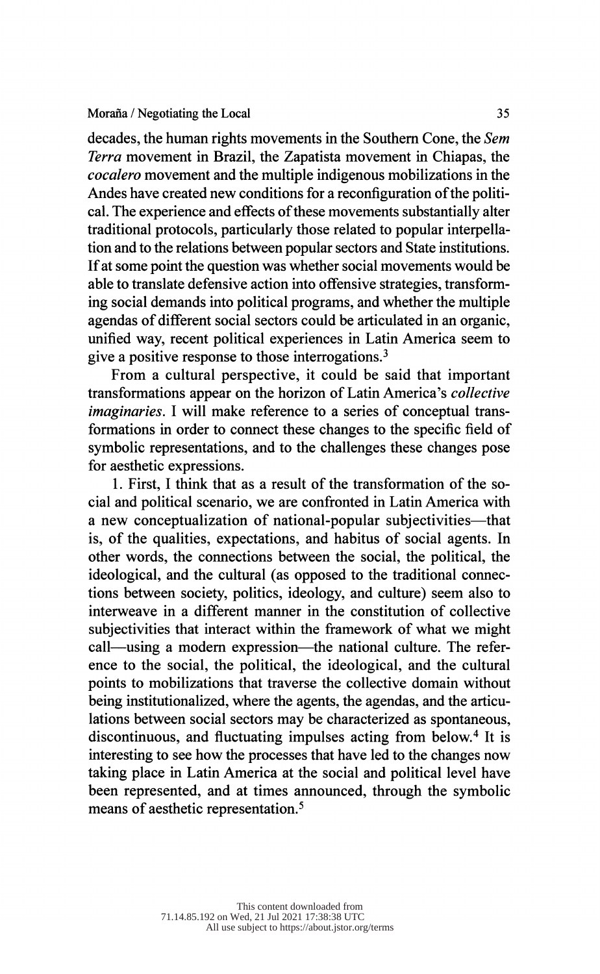decades, the human rights movements in the Southern Cone, the Sem Terra movement in Brazil, the Zapatista movement in Chiapas, the cocalero movement and the multiple indigenous mobilizations in the Andes have created new conditions for a reconfiguration of the politi cal. The experience and effects of these movements substantially alter traditional protocols, particularly those related to popular interpella tion and to the relations between popular sectors and State institutions. If at some point the question was whether social movements would be able to translate defensive action into offensive strategies, transform ing social demands into political programs, and whether the multiple agendas of different social sectors could be articulated in an organic, unified way, recent political experiences in Latin America seem to give a positive response to those interrogations.<sup>3</sup>

 From a cultural perspective, it could be said that important transformations appear on the horizon of Latin America's collective imaginaries. I will make reference to a series of conceptual trans formations in order to connect these changes to the specific field of symbolic representations, and to the challenges these changes pose for aesthetic expressions.

 1. First, I think that as a result of the transformation of the so cial and political scenario, we are confronted in Latin America with a new conceptualization of national-popular subjectivities—that is, of the qualities, expectations, and habitus of social agents. In other words, the connections between the social, the political, the ideological, and the cultural (as opposed to the traditional connec tions between society, politics, ideology, and culture) seem also to interweave in a different manner in the constitution of collective subjectivities that interact within the framework of what we might call—using a modern expression—the national culture. The refer ence to the social, the political, the ideological, and the cultural points to mobilizations that traverse the collective domain without being institutionalized, where the agents, the agendas, and the articu lations between social sectors may be characterized as spontaneous, discontinuous, and fluctuating impulses acting from below.4 It is interesting to see how the processes that have led to the changes now taking place in Latin America at the social and political level have been represented, and at times announced, through the symbolic means of aesthetic representation.5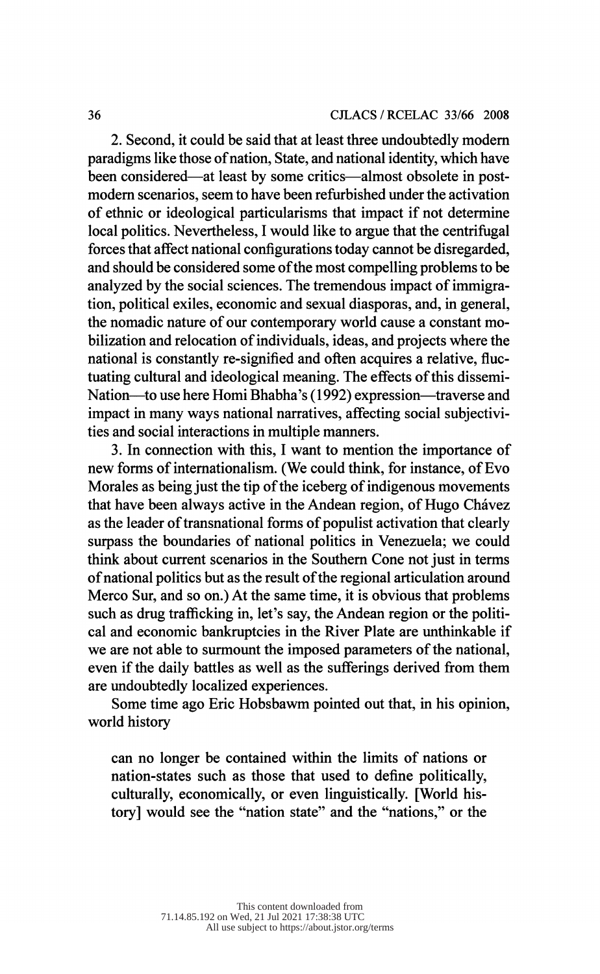2. Second, it could be said that at least three undoubtedly modern paradigms like those of nation, State, and national identity, which have been considered—at least by some critics—almost obsolete in post modern scenarios, seem to have been refurbished under the activation of ethnic or ideological particularisms that impact if not determine local politics. Nevertheless, I would like to argue that the centrifugal forces that affect national configurations today cannot be disregarded, and should be considered some of the most compelling problems to be analyzed by the social sciences. The tremendous impact of immigra tion, political exiles, economic and sexual diasporas, and, in general, the nomadic nature of our contemporary world cause a constant mo bilization and relocation of individuals, ideas, and projects where the national is constantly re-signified and often acquires a relative, fluc tuating cultural and ideological meaning. The effects of this dissemi- Nation—to use here Homi Bhabha's (1992) expression—traverse and impact in many ways national narratives, affecting social subjectivi ties and social interactions in multiple manners.

 3. In connection with this, I want to mention the importance of new forms of internationalism. (We could think, for instance, of Evo Morales as being just the tip of the iceberg of indigenous movements that have been always active in the Andean region, of Hugo Chávez as the leader of transnational forms of populist activation that clearly surpass the boundaries of national politics in Venezuela; we could think about current scenarios in the Southern Cone not just in terms of national politics but as the result of the regional articulation around Merco Sur, and so on.) At the same time, it is obvious that problems such as drug trafficking in, let's say, the Andean region or the politi cal and economic bankruptcies in the River Plate are unthinkable if we are not able to surmount the imposed parameters of the national, even if the daily battles as well as the sufferings derived from them are undoubtedly localized experiences.

 Some time ago Eric Hobsbawm pointed out that, in his opinion, world history

 can no longer be contained within the limits of nations or nation-states such as those that used to define politically, culturally, economically, or even linguistically. [World his tory] would see the "nation state" and the "nations," or the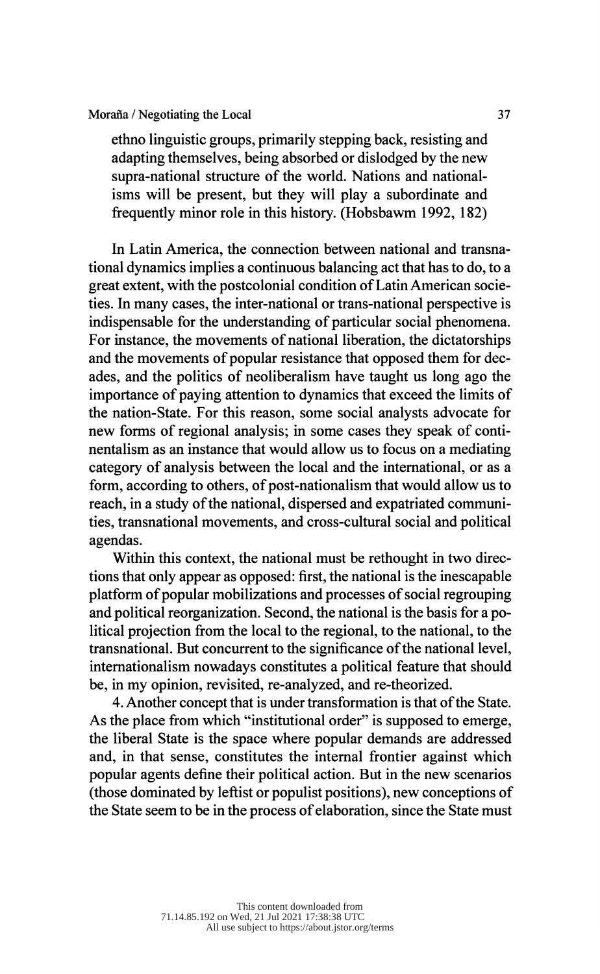#### Moraña / Negotiating the Local 37

 ethno linguistic groups, primarily stepping back, resisting and adapting themselves, being absorbed or dislodged by the new supra-national structure of the world. Nations and national isms will be present, but they will play a subordinate and frequently minor role in this history. (Hobsbawm 1992, 182)

 In Latin America, the connection between national and transna tional dynamics implies a continuous balancing act that has to do, to a great extent, with the postcolonial condition of Latin American socie ties. In many cases, the inter-national or trans-national perspective is indispensable for the understanding of particular social phenomena. For instance, the movements of national liberation, the dictatorships and the movements of popular resistance that opposed them for dec ades, and the politics of neoliberalism have taught us long ago the importance of paying attention to dynamics that exceed the limits of the nation-State. For this reason, some social analysts advocate for new forms of regional analysis; in some cases they speak of conti nentalism as an instance that would allow us to focus on a mediating category of analysis between the local and the international, or as a form, according to others, of post-nationalism that would allow us to reach, in a study of the national, dispersed and expatriated communi ties, transnational movements, and cross-cultural social and political agendas.

 Within this context, the national must be rethought in two direc tions that only appear as opposed: first, the national is the inescapable platform of popular mobilizations and processes of social regrouping and political reorganization. Second, the national is the basis for a po litical projection from the local to the regional, to the national, to the transnational. But concurrent to the significance of the national level, internationalism nowadays constitutes a political feature that should be, in my opinion, revisited, re-analyzed, and re-theorized.

 4. Another concept that is under transformation is that of the State. As the place from which "institutional order" is supposed to emerge, the liberal State is the space where popular demands are addressed and, in that sense, constitutes the internal frontier against which popular agents define their political action. But in the new scenarios (those dominated by leftist or populist positions), new conceptions of the State seem to be in the process of elaboration, since the State must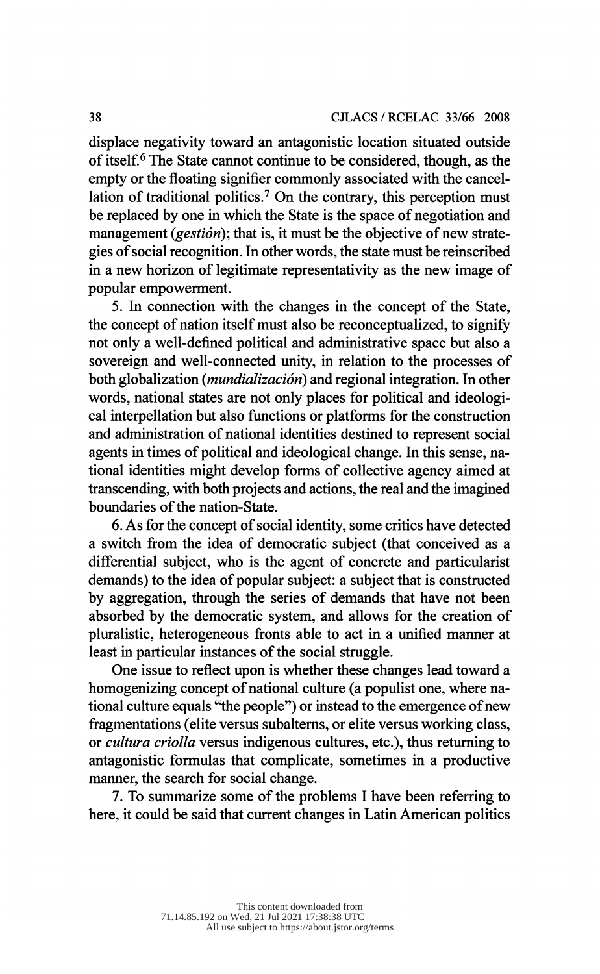displace negativity toward an antagonistic location situated outside of itself.6 The State cannot continue to be considered, though, as the empty or the floating signifier commonly associated with the cancel lation of traditional politics.<sup>7</sup> On the contrary, this perception must be replaced by one in which the State is the space of negotiation and management (*gestión*); that is, it must be the objective of new strate gies of social recognition. In other words, the state must be reinscribed in a new horizon of legitimate representativity as the new image of m a new horizon or regininate representativity as the new mo-<br>popular empowerment.

5. In connection with the changes in the concept of the State, the concept of nation itself must also be reconceptualized, to signify not only a well-defined political and administrative space but also a sovereign and well-connected unity, in relation to the processes of both globalization (*mundialización*) and regional integration. In other words, national states are not only places for political and ideologi cal interpellation but also functions or platforms for the construction and administration of national identities destined to represent social agents in times of political and ideological change. In this sense, na tional identities might develop forms of collective agency aimed at transcending, with both projects and actions, the real and the imagined boundaries of the nation-State.

 6. As for the concept of social identity, some critics have detected a switch from the idea of democratic subject (that conceived as a differential subject, who is the agent of concrete and particularist demands) to the idea of popular subject: a subject that is constructed by aggregation, through the series of demands that have not been absorbed by the democratic system, and allows for the creation of pluralistic, heterogeneous fronts able to act in a unified manner at least in particular instances of the social struggle.

 One issue to reflect upon is whether these changes lead toward a homogenizing concept of national culture (a populist one, where na tional culture equals "the people") or instead to the emergence of new fragmentations (elite versus subalterns, or elite versus working class, or cultura criolla versus indigenous cultures, etc.), thus returning to antagonistic formulas that complicate, sometimes in a productive manner, the search for social change.

 7. To summarize some of the problems I have been referring to here, it could be said that current changes in Latin American politics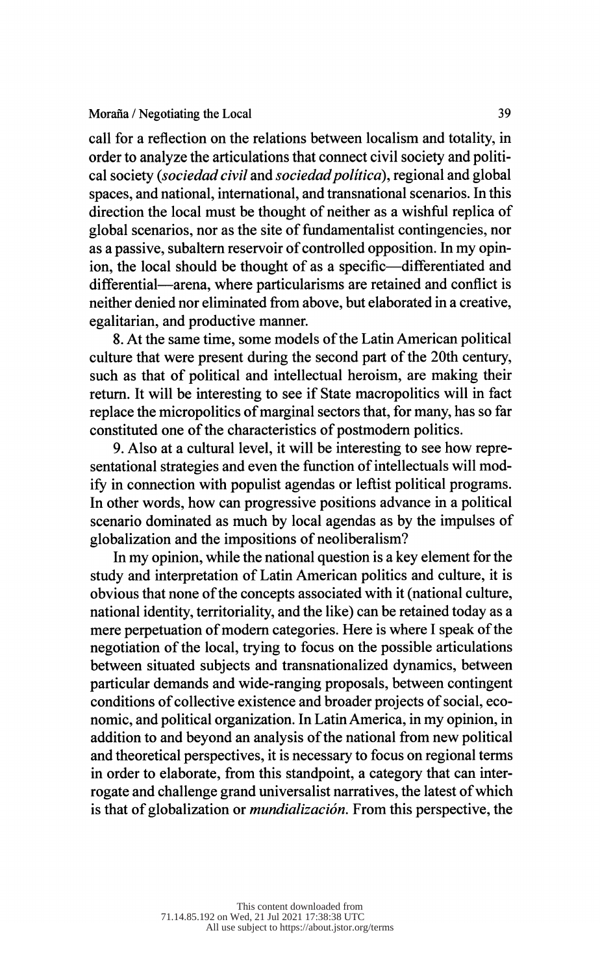call for a reflection on the relations between localism and totality, in order to analyze the articulations that connect civil society and politi cal society (*sociedad civil* and *sociedad politica*), regional and global spaces, and national, international, and transnational scenarios. In this direction the local must be thought of neither as a wishful replica of global scenarios, nor as the site of fundamentalist contingencies, nor as a passive, subaltern reservoir of controlled opposition. In my opin ion, the local should be thought of as a specific—differentiated and differential—arena, where particularisms are retained and conflict is neither denied nor eliminated from above, but elaborated in a creative, egalitarian, and productive manner.

 8. At the same time, some models of the Latin American political culture that were present during the second part of the 20th century, such as that of political and intellectual heroism, are making their return. It will be interesting to see if State macropolitics will in fact replace the micropolitics of marginal sectors that, for many, has so far constituted one of the characteristics of postmodern politics.

 9. Also at a cultural level, it will be interesting to see how repre sentational strategies and even the function of intellectuals will mod ify in connection with populist agendas or leftist political programs. In other words, how can progressive positions advance in a political scenario dominated as much by local agendas as by the impulses of globalization and the impositions of neoliberalism?

 In my opinion, while the national question is a key element for the study and interpretation of Latin American politics and culture, it is obvious that none of the concepts associated with it (national culture, national identity, territoriality, and the like) can be retained today as a mere perpetuation of modern categories. Here is where I speak of the negotiation of the local, trying to focus on the possible articulations between situated subjects and transnationalized dynamics, between particular demands and wide-ranging proposals, between contingent conditions of collective existence and broader projects of social, eco nomic, and political organization. In Latin America, in my opinion, in addition to and beyond an analysis of the national from new political and theoretical perspectives, it is necessary to focus on regional terms in order to elaborate, from this standpoint, a category that can inter rogate and challenge grand universalist narratives, the latest of which is that of globalization or mundialización. From this perspective, the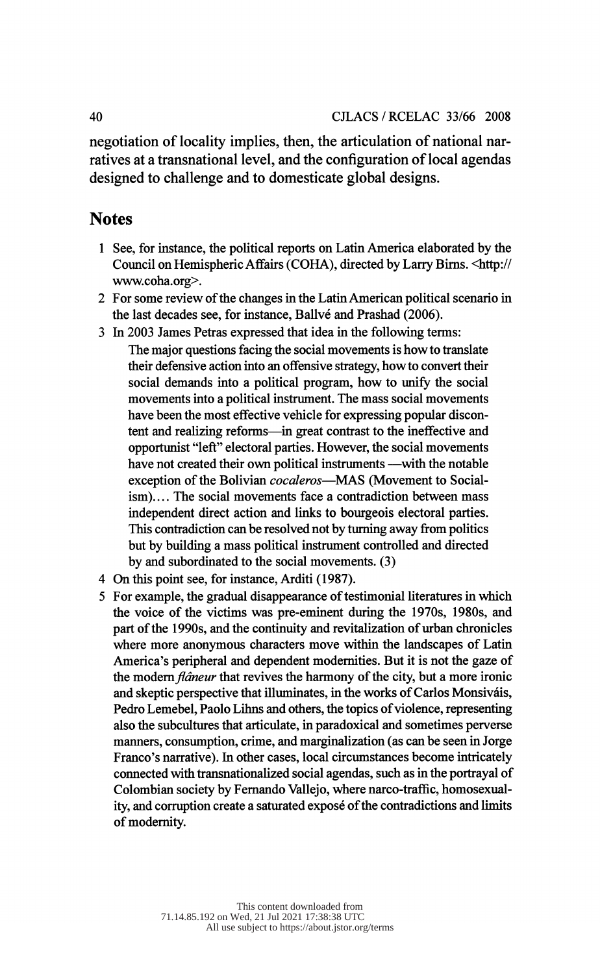negotiation of locality implies, then, the articulation of national nar ratives at a transnational level, and the configuration of local agendas designed to challenge and to domesticate global designs.

## **Notes**

- 1 See, for instance, the political reports on Latin America elaborated by the Council on Hemispheric Affairs (COHA), directed by Larry Birns. <http:// www.coha.org>.
- 2 For some review of the changes in the Latin American political scenario in the last decades see, for instance, Ballvé and Prashad (2006).
- 3 In 2003 James Petras expressed that idea in the following terms:

 The major questions facing the social movements is how to translate their defensive action into an offensive strategy, how to convert their social demands into a political program, how to unify the social movements into a political instrument. The mass social movements have been the most effective vehicle for expressing popular discon tent and realizing reforms—in great contrast to the ineffective and opportunist "left" electoral parties. However, the social movements have not created their own political instruments —with the notable exception of the Bolivian cocaleros-MAS (Movement to Socialism).... The social movements face a contradiction between mass independent direct action and links to bourgeois electoral parties. This contradiction can be resolved not by turning away from politics but by building a mass political instrument controlled and directed by and subordinated to the social movements. (3)

- 4 On this point see, for instance, Arditi (1987).
- 5 For example, the gradual disappearance of testimonial literatures in which the voice of the victims was pre-eminent during the 1970s, 1980s, and part of the 1990s, and the continuity and revitalization of urban chronicles where more anonymous characters move within the landscapes of Latin America's peripheral and dependent modernities. But it is not the gaze of the modern flâneur that revives the harmony of the city, but a more ironic and skeptic perspective that illuminates, in the works of Carlos Monsiváis, Pedro Lemebel, Paolo Lihns and others, the topics of violence, representing also the subcultures that articulate, in paradoxical and sometimes perverse manners, consumption, crime, and marginalization (as can be seen in Jorge Franco's narrative). In other cases, local circumstances become intricately connected with transnationalized social agendas, such as in the portrayal of Colombian society by Fernando Vallejo, where narco-traffic, homosexual ity, and corruption create a saturated exposé of the contradictions and limits of modernity.